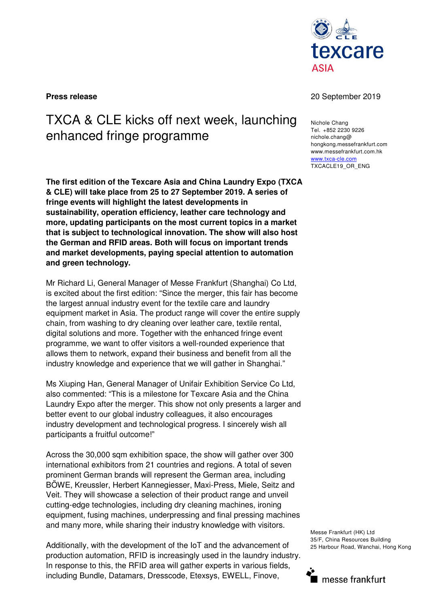

## TXCA & CLE kicks off next week, launching enhanced fringe programme

**The first edition of the Texcare Asia and China Laundry Expo (TXCA & CLE) will take place from 25 to 27 September 2019. A series of fringe events will highlight the latest developments in sustainability, operation efficiency, leather care technology and more, updating participants on the most current topics in a market that is subject to technological innovation. The show will also host the German and RFID areas. Both will focus on important trends and market developments, paying special attention to automation and green technology.** 

Mr Richard Li, General Manager of Messe Frankfurt (Shanghai) Co Ltd, is excited about the first edition: "Since the merger, this fair has become the largest annual industry event for the textile care and laundry equipment market in Asia. The product range will cover the entire supply chain, from washing to dry cleaning over leather care, textile rental, digital solutions and more. Together with the enhanced fringe event programme, we want to offer visitors a well-rounded experience that allows them to network, expand their business and benefit from all the industry knowledge and experience that we will gather in Shanghai."

Ms Xiuping Han, General Manager of Unifair Exhibition Service Co Ltd, also commented: "This is a milestone for Texcare Asia and the China Laundry Expo after the merger. This show not only presents a larger and better event to our global industry colleagues, it also encourages industry development and technological progress. I sincerely wish all participants a fruitful outcome!"

Across the 30,000 sqm exhibition space, the show will gather over 300 international exhibitors from 21 countries and regions. A total of seven prominent German brands will represent the German area, including BÖWE, Kreussler, Herbert Kannegiesser, Maxi-Press, Miele, Seitz and Veit. They will showcase a selection of their product range and unveil cutting-edge technologies, including dry cleaning machines, ironing equipment, fusing machines, underpressing and final pressing machines and many more, while sharing their industry knowledge with visitors.

Additionally, with the development of the IoT and the advancement of production automation, RFID is increasingly used in the laundry industry. In response to this, the RFID area will gather experts in various fields, including Bundle, Datamars, Dresscode, Etexsys, EWELL, Finove,

## **Press release** 20 September 2019

Nichole Chang Tel. +852 2230 9226 nichole.chang@ hongkong.messefrankfurt.com www.messefrankfurt.com.hk www.txca-cle.com TXCACLE19\_OR\_ENG

Messe Frankfurt (HK) Ltd 35/F, China Resources Building 25 Harbour Road, Wanchai, Hong Kong

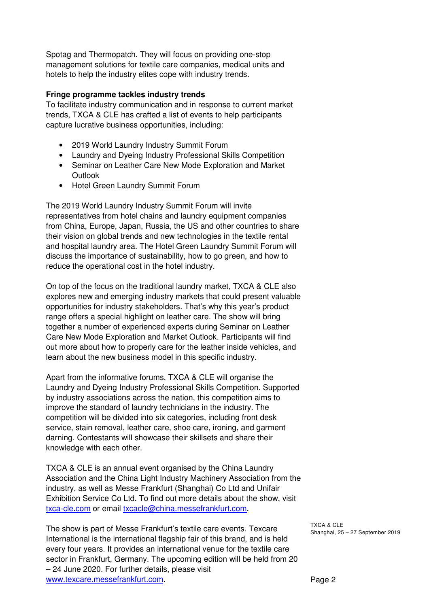Spotag and Thermopatch. They will focus on providing one-stop management solutions for textile care companies, medical units and hotels to help the industry elites cope with industry trends.

## **Fringe programme tackles industry trends**

To facilitate industry communication and in response to current market trends, TXCA & CLE has crafted a list of events to help participants capture lucrative business opportunities, including:

- 2019 World Laundry Industry Summit Forum
- Laundry and Dyeing Industry Professional Skills Competition
- Seminar on Leather Care New Mode Exploration and Market **Outlook**
- Hotel Green Laundry Summit Forum

The 2019 World Laundry Industry Summit Forum will invite representatives from hotel chains and laundry equipment companies from China, Europe, Japan, Russia, the US and other countries to share their vision on global trends and new technologies in the textile rental and hospital laundry area. The Hotel Green Laundry Summit Forum will discuss the importance of sustainability, how to go green, and how to reduce the operational cost in the hotel industry.

On top of the focus on the traditional laundry market, TXCA & CLE also explores new and emerging industry markets that could present valuable opportunities for industry stakeholders. That's why this year's product range offers a special highlight on leather care. The show will bring together a number of experienced experts during Seminar on Leather Care New Mode Exploration and Market Outlook. Participants will find out more about how to properly care for the leather inside vehicles, and learn about the new business model in this specific industry.

Apart from the informative forums, TXCA & CLE will organise the Laundry and Dyeing Industry Professional Skills Competition. Supported by industry associations across the nation, this competition aims to improve the standard of laundry technicians in the industry. The competition will be divided into six categories, including front desk service, stain removal, leather care, shoe care, ironing, and garment darning. Contestants will showcase their skillsets and share their knowledge with each other.

TXCA & CLE is an annual event organised by the China Laundry Association and the China Light Industry Machinery Association from the industry, as well as Messe Frankfurt (Shanghai) Co Ltd and Unifair Exhibition Service Co Ltd. To find out more details about the show, visit txca-cle.com or email txcacle@china.messefrankfurt.com.

The show is part of Messe Frankfurt's textile care events. Texcare International is the international flagship fair of this brand, and is held every four years. It provides an international venue for the textile care sector in Frankfurt, Germany. The upcoming edition will be held from 20 – 24 June 2020. For further details, please visit www.texcare.messefrankfurt.com.

TXCA & CLE Shanghai, 25 – 27 September 2019